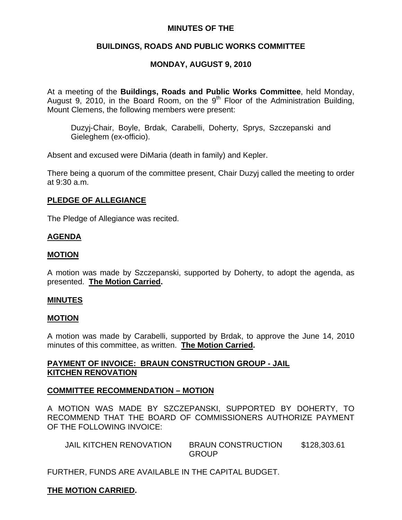## **MINUTES OF THE**

## **BUILDINGS, ROADS AND PUBLIC WORKS COMMITTEE**

# **MONDAY, AUGUST 9, 2010**

At a meeting of the **Buildings, Roads and Public Works Committee**, held Monday, August 9, 2010, in the Board Room, on the  $9<sup>th</sup>$  Floor of the Administration Building, Mount Clemens, the following members were present:

Duzyj-Chair, Boyle, Brdak, Carabelli, Doherty, Sprys, Szczepanski and Gieleghem (ex-officio).

Absent and excused were DiMaria (death in family) and Kepler.

There being a quorum of the committee present, Chair Duzyj called the meeting to order at 9:30 a.m.

## **PLEDGE OF ALLEGIANCE**

The Pledge of Allegiance was recited.

## **AGENDA**

## **MOTION**

A motion was made by Szczepanski, supported by Doherty, to adopt the agenda, as presented. **The Motion Carried.** 

### **MINUTES**

### **MOTION**

A motion was made by Carabelli, supported by Brdak, to approve the June 14, 2010 minutes of this committee, as written. **The Motion Carried.** 

## **PAYMENT OF INVOICE: BRAUN CONSTRUCTION GROUP - JAIL KITCHEN RENOVATION**

### **COMMITTEE RECOMMENDATION – MOTION**

A MOTION WAS MADE BY SZCZEPANSKI, SUPPORTED BY DOHERTY, TO RECOMMEND THAT THE BOARD OF COMMISSIONERS AUTHORIZE PAYMENT OF THE FOLLOWING INVOICE:

| <b>JAIL KITCHEN RENOVATION</b> | <b>BRAUN CONSTRUCTION</b> | \$128,303.61 |
|--------------------------------|---------------------------|--------------|
|                                | <b>GROUP</b>              |              |

FURTHER, FUNDS ARE AVAILABLE IN THE CAPITAL BUDGET.

## **THE MOTION CARRIED.**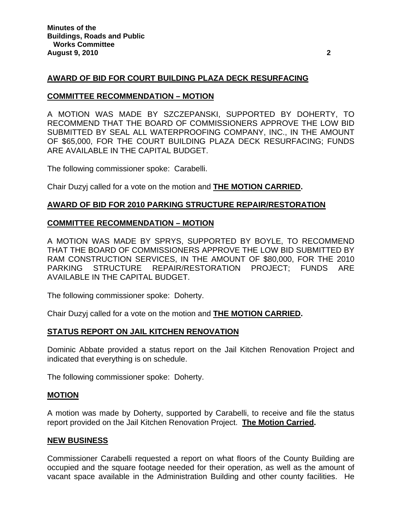## **AWARD OF BID FOR COURT BUILDING PLAZA DECK RESURFACING**

### **COMMITTEE RECOMMENDATION – MOTION**

A MOTION WAS MADE BY SZCZEPANSKI, SUPPORTED BY DOHERTY, TO RECOMMEND THAT THE BOARD OF COMMISSIONERS APPROVE THE LOW BID SUBMITTED BY SEAL ALL WATERPROOFING COMPANY, INC., IN THE AMOUNT OF \$65,000, FOR THE COURT BUILDING PLAZA DECK RESURFACING; FUNDS ARE AVAILABLE IN THE CAPITAL BUDGET.

The following commissioner spoke: Carabelli.

Chair Duzyj called for a vote on the motion and **THE MOTION CARRIED.** 

### **AWARD OF BID FOR 2010 PARKING STRUCTURE REPAIR/RESTORATION**

#### **COMMITTEE RECOMMENDATION – MOTION**

A MOTION WAS MADE BY SPRYS, SUPPORTED BY BOYLE, TO RECOMMEND THAT THE BOARD OF COMMISSIONERS APPROVE THE LOW BID SUBMITTED BY RAM CONSTRUCTION SERVICES, IN THE AMOUNT OF \$80,000, FOR THE 2010 PARKING STRUCTURE REPAIR/RESTORATION PROJECT; FUNDS ARE AVAILABLE IN THE CAPITAL BUDGET.

The following commissioner spoke: Doherty.

Chair Duzyj called for a vote on the motion and **THE MOTION CARRIED.** 

### **STATUS REPORT ON JAIL KITCHEN RENOVATION**

Dominic Abbate provided a status report on the Jail Kitchen Renovation Project and indicated that everything is on schedule.

The following commissioner spoke: Doherty.

### **MOTION**

A motion was made by Doherty, supported by Carabelli, to receive and file the status report provided on the Jail Kitchen Renovation Project. **The Motion Carried.** 

#### **NEW BUSINESS**

Commissioner Carabelli requested a report on what floors of the County Building are occupied and the square footage needed for their operation, as well as the amount of vacant space available in the Administration Building and other county facilities. He